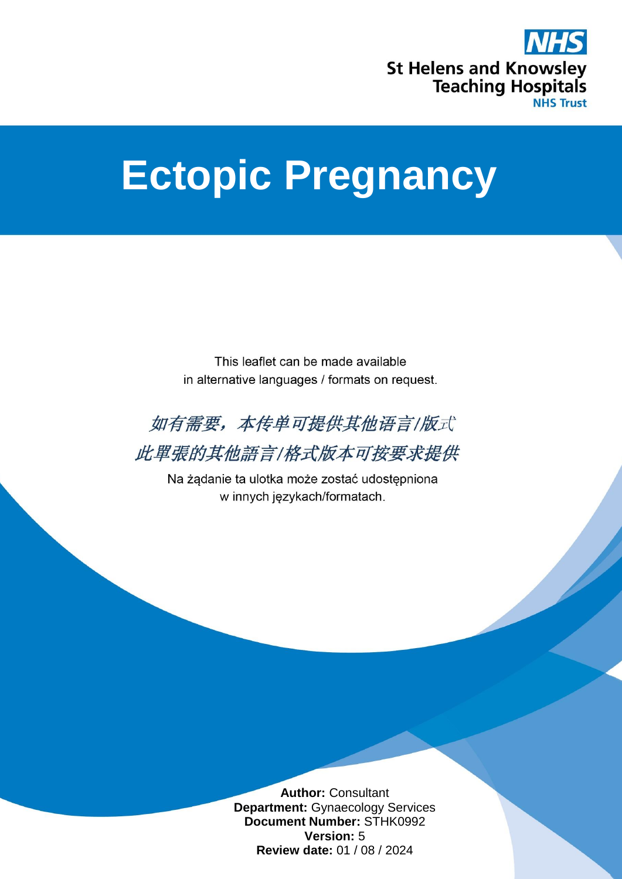

# **Ectopic Pregnancy**

This leaflet can be made available in alternative languages / formats on request.



此單張的其他語言/格式版本可按要求提供

Na żądanie ta ulotka może zostać udostępniona w innych językach/formatach.

> **Author:** Consultant **Department:** Gynaecology Services **Document Number:** STHK0992 **Version:** 5 **Review date:** 01 / 08 / 2024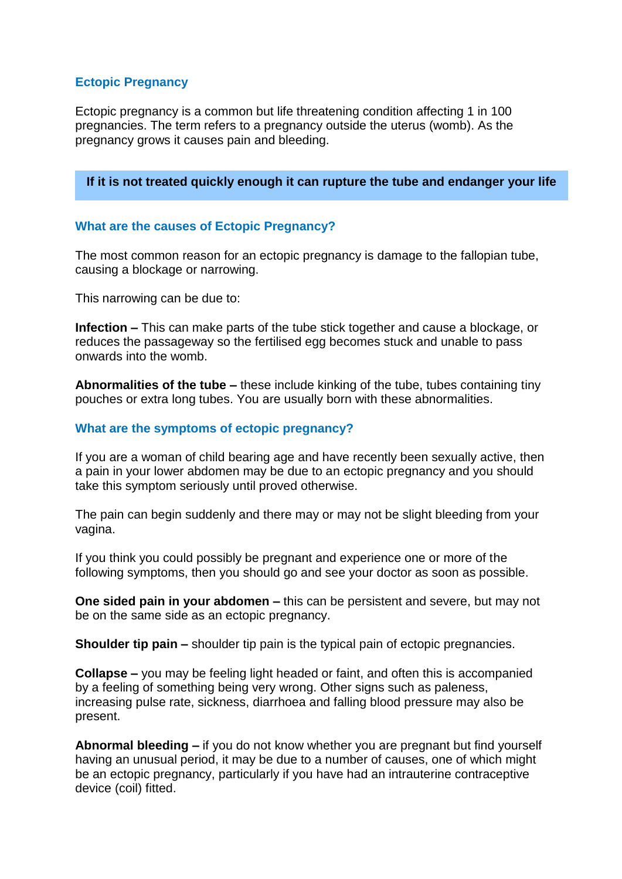## **Ectopic Pregnancy**

Ectopic pregnancy is a common but life threatening condition affecting 1 in 100 pregnancies. The term refers to a pregnancy outside the uterus (womb). As the pregnancy grows it causes pain and bleeding.

**If it is not treated quickly enough it can rupture the tube and endanger your life**

## **What are the causes of Ectopic Pregnancy?**

The most common reason for an ectopic pregnancy is damage to the fallopian tube, causing a blockage or narrowing.

This narrowing can be due to:

**Infection –** This can make parts of the tube stick together and cause a blockage, or reduces the passageway so the fertilised egg becomes stuck and unable to pass onwards into the womb.

**Abnormalities of the tube –** these include kinking of the tube, tubes containing tiny pouches or extra long tubes. You are usually born with these abnormalities.

## **What are the symptoms of ectopic pregnancy?**

If you are a woman of child bearing age and have recently been sexually active, then a pain in your lower abdomen may be due to an ectopic pregnancy and you should take this symptom seriously until proved otherwise.

The pain can begin suddenly and there may or may not be slight bleeding from your vagina.

If you think you could possibly be pregnant and experience one or more of the following symptoms, then you should go and see your doctor as soon as possible.

**One sided pain in your abdomen –** this can be persistent and severe, but may not be on the same side as an ectopic pregnancy.

**Shoulder tip pain –** shoulder tip pain is the typical pain of ectopic pregnancies.

**Collapse –** you may be feeling light headed or faint, and often this is accompanied by a feeling of something being very wrong. Other signs such as paleness, increasing pulse rate, sickness, diarrhoea and falling blood pressure may also be present.

**Abnormal bleeding –** if you do not know whether you are pregnant but find yourself having an unusual period, it may be due to a number of causes, one of which might be an ectopic pregnancy, particularly if you have had an intrauterine contraceptive device (coil) fitted.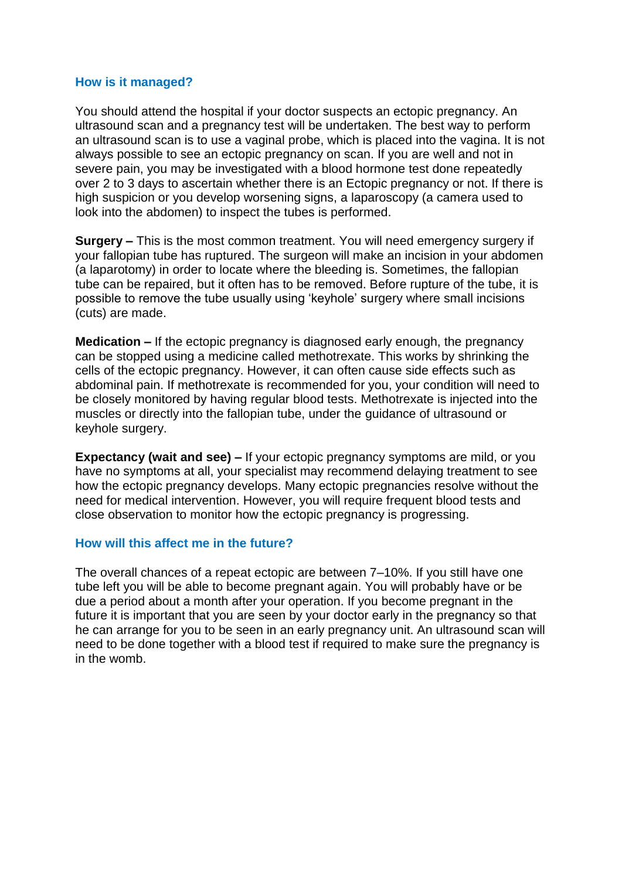#### **How is it managed?**

You should attend the hospital if your doctor suspects an ectopic pregnancy. An ultrasound scan and a pregnancy test will be undertaken. The best way to perform an ultrasound scan is to use a vaginal probe, which is placed into the vagina. It is not always possible to see an ectopic pregnancy on scan. If you are well and not in severe pain, you may be investigated with a blood hormone test done repeatedly over 2 to 3 days to ascertain whether there is an Ectopic pregnancy or not. If there is high suspicion or you develop worsening signs, a laparoscopy (a camera used to look into the abdomen) to inspect the tubes is performed.

**Surgery –** This is the most common treatment. You will need emergency surgery if your fallopian tube has ruptured. The surgeon will make an incision in your abdomen (a laparotomy) in order to locate where the bleeding is. Sometimes, the fallopian tube can be repaired, but it often has to be removed. Before rupture of the tube, it is possible to remove the tube usually using 'keyhole' surgery where small incisions (cuts) are made.

**Medication –** If the ectopic pregnancy is diagnosed early enough, the pregnancy can be stopped using a medicine called methotrexate. This works by shrinking the cells of the ectopic pregnancy. However, it can often cause side effects such as abdominal pain. If methotrexate is recommended for you, your condition will need to be closely monitored by having regular blood tests. Methotrexate is injected into the muscles or directly into the fallopian tube, under the guidance of ultrasound or keyhole surgery.

**Expectancy (wait and see) –** If your ectopic pregnancy symptoms are mild, or you have no symptoms at all, your specialist may recommend delaying treatment to see how the ectopic pregnancy develops. Many ectopic pregnancies resolve without the need for medical intervention. However, you will require frequent blood tests and close observation to monitor how the ectopic pregnancy is progressing.

## **How will this affect me in the future?**

The overall chances of a repeat ectopic are between 7–10%. If you still have one tube left you will be able to become pregnant again. You will probably have or be due a period about a month after your operation. If you become pregnant in the future it is important that you are seen by your doctor early in the pregnancy so that he can arrange for you to be seen in an early pregnancy unit. An ultrasound scan will need to be done together with a blood test if required to make sure the pregnancy is in the womb.